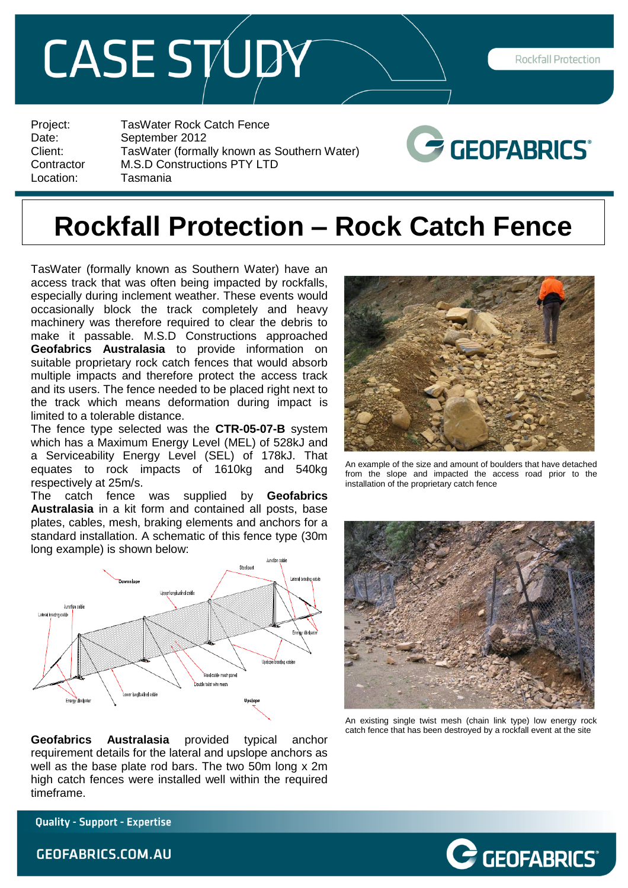## **CASE STUDY**

Rockfall Protection

Project: TasWater Rock Catch Fence Date: September 2012 Client: TasWater (formally known as Southern Water)<br>Contractor M.S.D Constructions PTY LTD Contractor M.S.D Constructions PTY LTD<br>Location: Tasmania **Tasmania** 



## **Rockfall Protection – Rock Catch Fence**

TasWater (formally known as Southern Water) have an access track that was often being impacted by rockfalls, especially during inclement weather. These events would occasionally block the track completely and heavy machinery was therefore required to clear the debris to make it passable. M.S.D Constructions approached **Geofabrics Australasia** to provide information on suitable proprietary rock catch fences that would absorb multiple impacts and therefore protect the access track and its users. The fence needed to be placed right next to the track which means deformation during impact is limited to a tolerable distance.

The fence type selected was the **CTR-05-07-B** system which has a Maximum Energy Level (MEL) of 528kJ and a Serviceability Energy Level (SEL) of 178kJ. That equates to rock impacts of 1610kg and 540kg respectively at 25m/s.

The catch fence was supplied by **Geofabrics Australasia** in a kit form and contained all posts, base plates, cables, mesh, braking elements and anchors for a standard installation. A schematic of this fence type (30m long example) is shown below:



**Geofabrics Australasia** provided typical anchor requirement details for the lateral and upslope anchors as well as the base plate rod bars. The two 50m long x 2m high catch fences were installed well within the required timeframe.



An example of the size and amount of boulders that have detached from the slope and impacted the access road prior to the installation of the proprietary catch fence



An existing single twist mesh (chain link type) low energy rock catch fence that has been destroyed by a rockfall event at the site

 $\mathcal{\geq}$  GEOFABRICS®

**Quality - Support - Expertise** 

**GEOFABRICS.COM.AU**